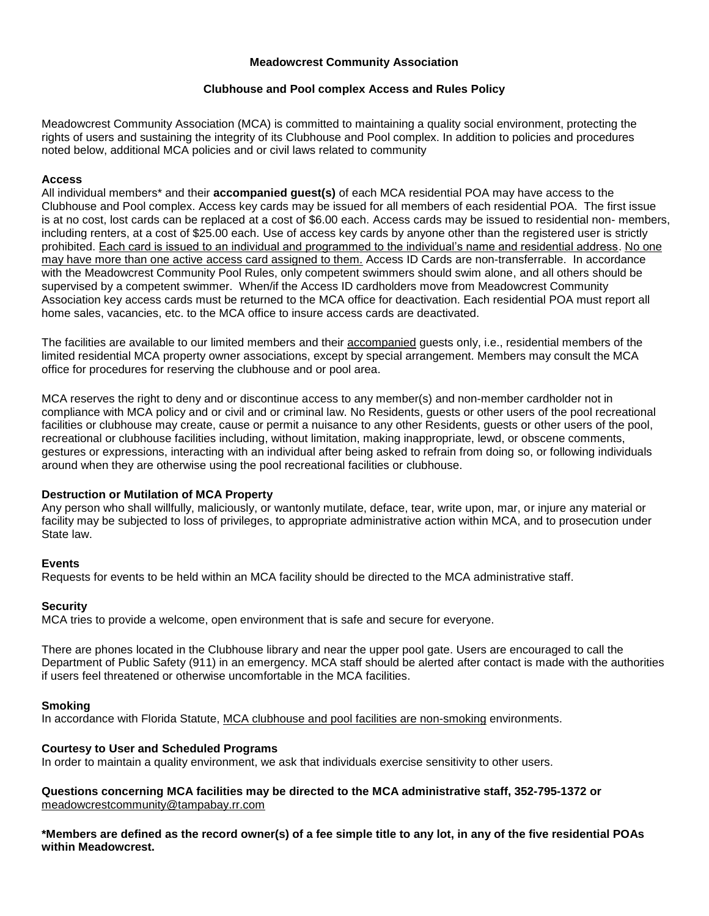#### **Meadowcrest Community Association**

### **Clubhouse and Pool complex Access and Rules Policy**

Meadowcrest Community Association (MCA) is committed to maintaining a quality social environment, protecting the rights of users and sustaining the integrity of its Clubhouse and Pool complex. In addition to policies and procedures noted below, additional MCA policies and or civil laws related to community

### **Access**

All individual members\* and their **accompanied guest(s)** of each MCA residential POA may have access to the Clubhouse and Pool complex. Access key cards may be issued for all members of each residential POA. The first issue is at no cost, lost cards can be replaced at a cost of \$6.00 each. Access cards may be issued to residential non- members, including renters, at a cost of \$25.00 each. Use of access key cards by anyone other than the registered user is strictly prohibited. Each card is issued to an individual and programmed to the individual's name and residential address. No one may have more than one active access card assigned to them. Access ID Cards are non-transferrable. In accordance with the Meadowcrest Community Pool Rules, only competent swimmers should swim alone, and all others should be supervised by a competent swimmer. When/if the Access ID cardholders move from Meadowcrest Community Association key access cards must be returned to the MCA office for deactivation. Each residential POA must report all home sales, vacancies, etc. to the MCA office to insure access cards are deactivated.

The facilities are available to our limited members and their accompanied guests only, i.e., residential members of the limited residential MCA property owner associations, except by special arrangement. Members may consult the MCA office for procedures for reserving the clubhouse and or pool area.

MCA reserves the right to deny and or discontinue access to any member(s) and non-member cardholder not in compliance with MCA policy and or civil and or criminal law. No Residents, guests or other users of the pool recreational facilities or clubhouse may create, cause or permit a nuisance to any other Residents, guests or other users of the pool, recreational or clubhouse facilities including, without limitation, making inappropriate, lewd, or obscene comments, gestures or expressions, interacting with an individual after being asked to refrain from doing so, or following individuals around when they are otherwise using the pool recreational facilities or clubhouse.

#### **Destruction or Mutilation of MCA Property**

Any person who shall willfully, maliciously, or wantonly mutilate, deface, tear, write upon, mar, or injure any material or facility may be subjected to loss of privileges, to appropriate administrative action within MCA, and to prosecution under State law.

# **Events**

Requests for events to be held within an MCA facility should be directed to the MCA administrative staff.

# **Security**

MCA tries to provide a welcome, open environment that is safe and secure for everyone.

There are phones located in the Clubhouse library and near the upper pool gate. Users are encouraged to call the Department of Public Safety (911) in an emergency. MCA staff should be alerted after contact is made with the authorities if users feel threatened or otherwise uncomfortable in the MCA facilities.

#### **Smoking**

In accordance with Florida Statute, MCA clubhouse and pool facilities are non-smoking environments.

# **Courtesy to User and Scheduled Programs**

In order to maintain a quality environment, we ask that individuals exercise sensitivity to other users.

**Questions concerning MCA facilities may be directed to the MCA administrative staff, 352-795-1372 or**  [meadowcrestcommunity@tampabay.rr.com](mailto:meadowcrestcommunity@tampabay.rr.com)

**\*Members are defined as the record owner(s) of a fee simple title to any lot, in any of the five residential POAs within Meadowcrest.**